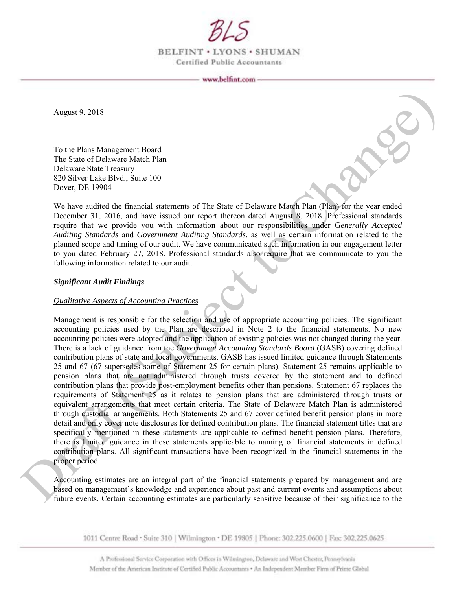

BELFINT . LYONS . SHUMAN Certified Public Accountants

August 9, 2018

To the Plans Management Board The State of Delaware Match Plan Delaware State Treasury 820 Silver Lake Blvd., Suite 100 Dover, DE 19904

We have audited the financial statements of The State of Delaware Match Plan (Plan) for the year ended December 31, 2016, and have issued our report thereon dated August 8, 2018. Professional standards require that we provide you with information about our responsibilities under G*enerally Accepted Auditing Standards* and *Government Auditing Standards*, as well as certain information related to the planned scope and timing of our audit. We have communicated such information in our engagement letter to you dated February 27, 2018. Professional standards also require that we communicate to you the following information related to our audit.

#### *Significant Audit Findings*

#### *Qualitative Aspects of Accounting Practices*

Management is responsible for the selection and use of appropriate accounting policies. The significant accounting policies used by the Plan are described in Note 2 to the financial statements. No new accounting policies were adopted and the application of existing policies was not changed during the year. There is a lack of guidance from the *Government Accounting Standards Board* (GASB) covering defined contribution plans of state and local governments. GASB has issued limited guidance through Statements 25 and 67 (67 supersedes some of Statement 25 for certain plans). Statement 25 remains applicable to pension plans that are not administered through trusts covered by the statement and to defined contribution plans that provide post-employment benefits other than pensions. Statement 67 replaces the requirements of Statement 25 as it relates to pension plans that are administered through trusts or equivalent arrangements that meet certain criteria. The State of Delaware Match Plan is administered through custodial arrangements. Both Statements 25 and 67 cover defined benefit pension plans in more detail and only cover note disclosures for defined contribution plans. The financial statement titles that are specifically mentioned in these statements are applicable to defined benefit pension plans. Therefore, there is limited guidance in these statements applicable to naming of financial statements in defined contribution plans. All significant transactions have been recognized in the financial statements in the proper period. August 9, 2018<br>
To the Plane Management Board<br>
The State of Delivator Mach Dhan<br>
Delivate State I resusty<br>
Scholars (Subject to Change)<br>
Scholars (Subject to Change and Scholars (1) the State of Delivative State I resuste

Accounting estimates are an integral part of the financial statements prepared by management and are based on management's knowledge and experience about past and current events and assumptions about future events. Certain accounting estimates are particularly sensitive because of their significance to the

1011 Centre Road · Suite 310 | Wilmington · DE 19805 | Phone: 302.225.0600 | Fax: 302.225.0625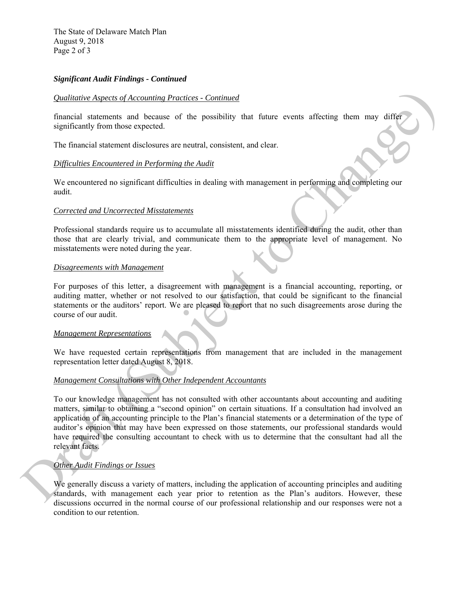The State of Delaware Match Plan August 9, 2018 Page 2 of 3

## *Significant Audit Findings - Continued*

### *Qualitative Aspects of Accounting Practices - Continued*

financial statements and because of the possibility that future events affecting them may differ significantly from those expected.

The financial statement disclosures are neutral, consistent, and clear.

## *Difficulties Encountered in Performing the Audit*

We encountered no significant difficulties in dealing with management in performing and completing our audit.

#### *Corrected and Uncorrected Misstatements*

Professional standards require us to accumulate all misstatements identified during the audit, other than those that are clearly trivial, and communicate them to the appropriate level of management. No misstatements were noted during the year.

#### *Disagreements with Management*

For purposes of this letter, a disagreement with management is a financial accounting, reporting, or auditing matter, whether or not resolved to our satisfaction, that could be significant to the financial statements or the auditors' report. We are pleased to report that no such disagreements arose during the course of our audit.

#### *Management Representations*

We have requested certain representations from management that are included in the management representation letter dated August 8, 2018.

# *Management Consultations with Other Independent Accountants*

To our knowledge management has not consulted with other accountants about accounting and auditing matters, similar to obtaining a "second opinion" on certain situations. If a consultation had involved an application of an accounting principle to the Plan's financial statements or a determination of the type of auditor's opinion that may have been expressed on those statements, our professional standards would have required the consulting accountant to check with us to determine that the consultant had all the relevant facts. **Changement value of Accorations** Practices. Continued<br>
functional statement is all because of the possibility that future events affecting them may different<br>
significantly troo those expected<br>
The financial statement di

# *Other Audit Findings or Issues*

We generally discuss a variety of matters, including the application of accounting principles and auditing standards, with management each year prior to retention as the Plan's auditors. However, these discussions occurred in the normal course of our professional relationship and our responses were not a condition to our retention.